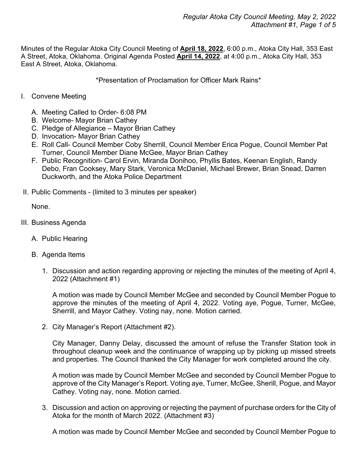Minutes of the Regular Atoka City Council Meeting of **April 18, 2022**, 6:00 p.m., Atoka City Hall, 353 East A Street, Atoka, Oklahoma. Original Agenda Posted **April 14, 2022**, at 4:00 p.m., Atoka City Hall, 353 East A Street, Atoka, Oklahoma.

\*Presentation of Proclamation for Officer Mark Rains\*

- I. Convene Meeting
	- A. Meeting Called to Order- 6:08 PM
	- B. Welcome- Mayor Brian Cathey
	- C. Pledge of Allegiance Mayor Brian Cathey
	- D. Invocation- Mayor Brian Cathey
	- E. Roll Call- Council Member Coby Sherrill, Council Member Erica Pogue, Council Member Pat Turner, Council Member Diane McGee, Mayor Brian Cathey
	- F. Public Recognition- Carol Ervin, Miranda Donihoo, Phyllis Bates, Keenan English, Randy Debo, Fran Cooksey, Mary Stark, Veronica McDaniel, Michael Brewer, Brian Snead, Darren Duckworth, and the Atoka Police Department
- II. Public Comments (limited to 3 minutes per speaker)

None.

- III. Business Agenda
	- A. Public Hearing
	- B. Agenda Items
		- 1. Discussion and action regarding approving or rejecting the minutes of the meeting of April 4, 2022 (Attachment #1)

A motion was made by Council Member McGee and seconded by Council Member Pogue to approve the minutes of the meeting of April 4, 2022. Voting aye, Pogue, Turner, McGee, Sherrill, and Mayor Cathey. Voting nay, none. Motion carried.

2. City Manager's Report (Attachment #2).

City Manager, Danny Delay, discussed the amount of refuse the Transfer Station took in throughout cleanup week and the continuance of wrapping up by picking up missed streets and properties. The Council thanked the City Manager for work completed around the city.

A motion was made by Council Member McGee and seconded by Council Member Pogue to approve of the City Manager's Report. Voting aye, Turner, McGee, Sherill, Pogue, and Mayor Cathey. Voting nay, none. Motion carried.

3. Discussion and action on approving or rejecting the payment of purchase orders for the City of Atoka for the month of March 2022. (Attachment #3)

A motion was made by Council Member McGee and seconded by Council Member Pogue to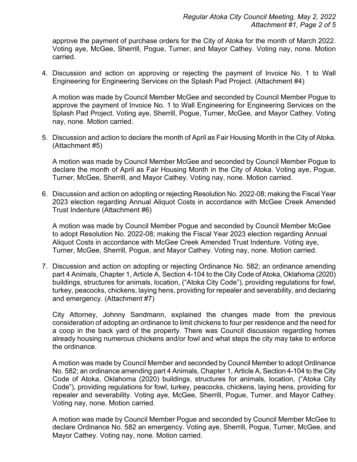approve the payment of purchase orders for the City of Atoka for the month of March 2022. Voting aye, McGee, Sherrill, Pogue, Turner, and Mayor Cathey. Voting nay, none. Motion carried.

4. Discussion and action on approving or rejecting the payment of Invoice No. 1 to Wall Engineering for Engineering Services on the Splash Pad Project. (Attachment #4)

A motion was made by Council Member McGee and seconded by Council Member Pogue to approve the payment of Invoice No. 1 to Wall Engineering for Engineering Services on the Splash Pad Project. Voting aye, Sherrill, Pogue, Turner, McGee, and Mayor Cathey. Voting nay, none. Motion carried.

5. Discussion and action to declare the month of April as Fair Housing Month in the City of Atoka. (Attachment #5)

A motion was made by Council Member McGee and seconded by Council Member Pogue to declare the month of April as Fair Housing Month in the City of Atoka. Voting aye, Pogue, Turner, McGee, Sherrill, and Mayor Cathey. Voting nay, none. Motion carried.

6. Discussion and action on adopting or rejecting Resolution No. 2022-08; making the Fiscal Year 2023 election regarding Annual Aliquot Costs in accordance with McGee Creek Amended Trust Indenture (Attachment #6)

A motion was made by Council Member Pogue and seconded by Council Member McGee to adopt Resolution No. 2022-08; making the Fiscal Year 2023 election regarding Annual Aliquot Costs in accordance with McGee Creek Amended Trust Indenture. Voting aye, Turner, McGee, Sherrill, Pogue, and Mayor Cathey. Voting nay, none. Motion carried.

7. Discussion and action on adopting or rejecting Ordinance No. 582; an ordinance amending part 4 Animals, Chapter 1, Article A, Section 4-104 to the City Code of Atoka, Oklahoma (2020) buildings, structures for animals, location, ("Atoka City Code"), providing regulations for fowl, turkey, peacocks, chickens, laying hens, providing for repealer and severability, and declaring and emergency. (Attachment #7)

City Attorney, Johnny Sandmann, explained the changes made from the previous consideration of adopting an ordinance to limit chickens to four per residence and the need for a coop in the back yard of the property. There was Council discussion regarding homes already housing numerous chickens and/or fowl and what steps the city may take to enforce the ordinance.

A motion was made by Council Member and seconded by Council Member to adopt Ordinance No. 582; an ordinance amending part 4 Animals, Chapter 1, Article A, Section 4-104 to the City Code of Atoka, Oklahoma (2020) buildings, structures for animals, location, ("Atoka City Code"), providing regulations for fowl, turkey, peacocks, chickens, laying hens, providing for repealer and severability. Voting aye, McGee, Sherrill, Pogue, Turner, and Mayor Cathey. Voting nay, none. Motion carried.

A motion was made by Council Member Pogue and seconded by Council Member McGee to declare Ordinance No. 582 an emergency. Voting aye, Sherrill, Pogue, Turner, McGee, and Mayor Cathey. Voting nay, none. Motion carried.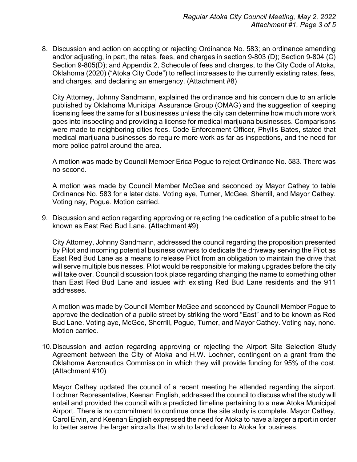8. Discussion and action on adopting or rejecting Ordinance No. 583; an ordinance amending and/or adjusting, in part, the rates, fees, and charges in section 9-803 (D); Section 9-804 (C) Section 9-805(D); and Appendix 2, Schedule of fees and charges, to the City Code of Atoka, Oklahoma (2020) ("Atoka City Code") to reflect increases to the currently existing rates, fees, and charges, and declaring an emergency. (Attachment #8)

City Attorney, Johnny Sandmann, explained the ordinance and his concern due to an article published by Oklahoma Municipal Assurance Group (OMAG) and the suggestion of keeping licensing fees the same for all businesses unless the city can determine how much more work goes into inspecting and providing a license for medical marijuana businesses. Comparisons were made to neighboring cities fees. Code Enforcement Officer, Phyllis Bates, stated that medical marijuana businesses do require more work as far as inspections, and the need for more police patrol around the area.

A motion was made by Council Member Erica Pogue to reject Ordinance No. 583. There was no second.

A motion was made by Council Member McGee and seconded by Mayor Cathey to table Ordinance No. 583 for a later date. Voting aye, Turner, McGee, Sherrill, and Mayor Cathey. Voting nay, Pogue. Motion carried.

9. Discussion and action regarding approving or rejecting the dedication of a public street to be known as East Red Bud Lane. (Attachment #9)

City Attorney, Johnny Sandmann, addressed the council regarding the proposition presented by Pilot and incoming potential business owners to dedicate the driveway serving the Pilot as East Red Bud Lane as a means to release Pilot from an obligation to maintain the drive that will serve multiple businesses. Pilot would be responsible for making upgrades before the city will take over. Council discussion took place regarding changing the name to something other than East Red Bud Lane and issues with existing Red Bud Lane residents and the 911 addresses.

A motion was made by Council Member McGee and seconded by Council Member Pogue to approve the dedication of a public street by striking the word "East" and to be known as Red Bud Lane. Voting aye, McGee, Sherrill, Pogue, Turner, and Mayor Cathey. Voting nay, none. Motion carried.

10.Discussion and action regarding approving or rejecting the Airport Site Selection Study Agreement between the City of Atoka and H.W. Lochner, contingent on a grant from the Oklahoma Aeronautics Commission in which they will provide funding for 95% of the cost. (Attachment #10)

Mayor Cathey updated the council of a recent meeting he attended regarding the airport. Lochner Representative, Keenan English, addressed the council to discuss what the study will entail and provided the council with a predicted timeline pertaining to a new Atoka Municipal Airport. There is no commitment to continue once the site study is complete. Mayor Cathey, Carol Ervin, and Keenan English expressed the need for Atoka to have a larger airport in order to better serve the larger aircrafts that wish to land closer to Atoka for business.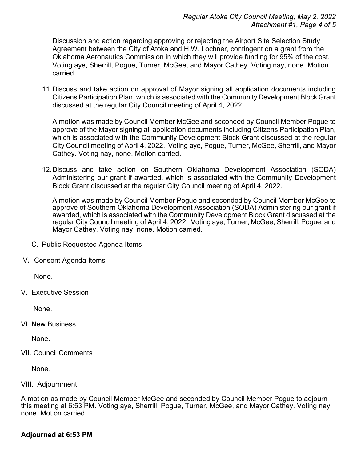Discussion and action regarding approving or rejecting the Airport Site Selection Study Agreement between the City of Atoka and H.W. Lochner, contingent on a grant from the Oklahoma Aeronautics Commission in which they will provide funding for 95% of the cost. Voting aye, Sherrill, Pogue, Turner, McGee, and Mayor Cathey. Voting nay, none. Motion carried.

11.Discuss and take action on approval of Mayor signing all application documents including Citizens Participation Plan, which is associated with the Community Development Block Grant discussed at the regular City Council meeting of April 4, 2022.

A motion was made by Council Member McGee and seconded by Council Member Pogue to approve of the Mayor signing all application documents including Citizens Participation Plan, which is associated with the Community Development Block Grant discussed at the regular City Council meeting of April 4, 2022. Voting aye, Pogue, Turner, McGee, Sherrill, and Mayor Cathey. Voting nay, none. Motion carried.

12.Discuss and take action on Southern Oklahoma Development Association (SODA) Administering our grant if awarded, which is associated with the Community Development Block Grant discussed at the regular City Council meeting of April 4, 2022.

A motion was made by Council Member Pogue and seconded by Council Member McGee to approve of Southern Oklahoma Development Association (SODA) Administering our grant if awarded, which is associated with the Community Development Block Grant discussed at the regular City Council meeting of April 4, 2022. Voting aye, Turner, McGee, Sherrill, Pogue, and Mayor Cathey. Voting nay, none. Motion carried.

- C. Public Requested Agenda Items
- IV**.** Consent Agenda Items

None.

V. Executive Session

None.

VI. New Business

None.

VII. Council Comments

None.

## VIII. Adjournment

A motion as made by Council Member McGee and seconded by Council Member Pogue to adjourn this meeting at 6:53 PM. Voting aye, Sherrill, Pogue, Turner, McGee, and Mayor Cathey. Voting nay, none. Motion carried.

## **Adjourned at 6:53 PM**